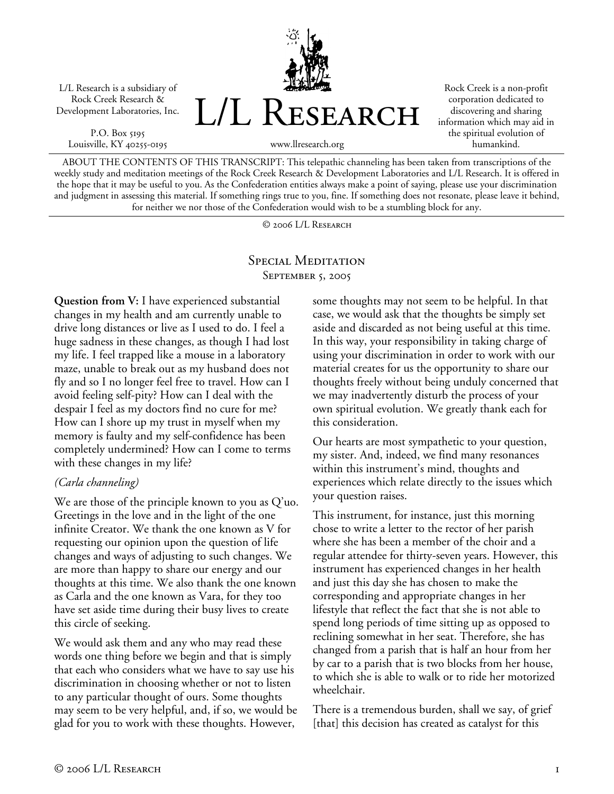L/L Research is a subsidiary of Rock Creek Research & Development Laboratories, Inc.

P.O. Box 5195 Louisville, KY 40255-0195



Rock Creek is a non-profit corporation dedicated to discovering and sharing information which may aid in the spiritual evolution of humankind.

ABOUT THE CONTENTS OF THIS TRANSCRIPT: This telepathic channeling has been taken from transcriptions of the weekly study and meditation meetings of the Rock Creek Research & Development Laboratories and L/L Research. It is offered in the hope that it may be useful to you. As the Confederation entities always make a point of saying, please use your discrimination and judgment in assessing this material. If something rings true to you, fine. If something does not resonate, please leave it behind, for neither we nor those of the Confederation would wish to be a stumbling block for any.

© 2006 L/L Research

## SPECIAL MEDITATION SEPTEMBER 5, 2005

**Question from V:** I have experienced substantial changes in my health and am currently unable to drive long distances or live as I used to do. I feel a huge sadness in these changes, as though I had lost my life. I feel trapped like a mouse in a laboratory maze, unable to break out as my husband does not fly and so I no longer feel free to travel. How can I avoid feeling self-pity? How can I deal with the despair I feel as my doctors find no cure for me? How can I shore up my trust in myself when my memory is faulty and my self-confidence has been completely undermined? How can I come to terms with these changes in my life?

## *(Carla channeling)*

We are those of the principle known to you as Q'uo. Greetings in the love and in the light of the one infinite Creator. We thank the one known as V for requesting our opinion upon the question of life changes and ways of adjusting to such changes. We are more than happy to share our energy and our thoughts at this time. We also thank the one known as Carla and the one known as Vara, for they too have set aside time during their busy lives to create this circle of seeking.

We would ask them and any who may read these words one thing before we begin and that is simply that each who considers what we have to say use his discrimination in choosing whether or not to listen to any particular thought of ours. Some thoughts may seem to be very helpful, and, if so, we would be glad for you to work with these thoughts. However,

some thoughts may not seem to be helpful. In that case, we would ask that the thoughts be simply set aside and discarded as not being useful at this time. In this way, your responsibility in taking charge of using your discrimination in order to work with our material creates for us the opportunity to share our thoughts freely without being unduly concerned that we may inadvertently disturb the process of your own spiritual evolution. We greatly thank each for this consideration.

Our hearts are most sympathetic to your question, my sister. And, indeed, we find many resonances within this instrument's mind, thoughts and experiences which relate directly to the issues which your question raises.

This instrument, for instance, just this morning chose to write a letter to the rector of her parish where she has been a member of the choir and a regular attendee for thirty-seven years. However, this instrument has experienced changes in her health and just this day she has chosen to make the corresponding and appropriate changes in her lifestyle that reflect the fact that she is not able to spend long periods of time sitting up as opposed to reclining somewhat in her seat. Therefore, she has changed from a parish that is half an hour from her by car to a parish that is two blocks from her house, to which she is able to walk or to ride her motorized wheelchair.

There is a tremendous burden, shall we say, of grief [that] this decision has created as catalyst for this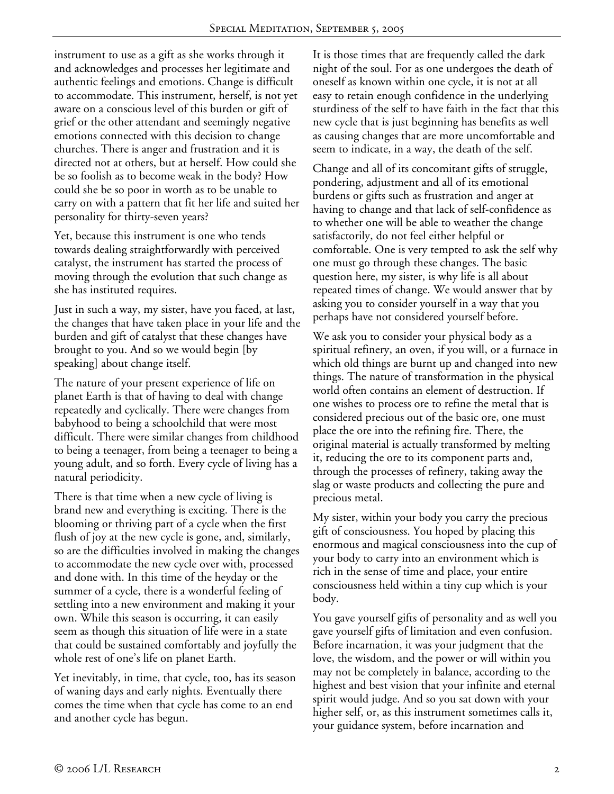instrument to use as a gift as she works through it and acknowledges and processes her legitimate and authentic feelings and emotions. Change is difficult to accommodate. This instrument, herself, is not yet aware on a conscious level of this burden or gift of grief or the other attendant and seemingly negative emotions connected with this decision to change churches. There is anger and frustration and it is directed not at others, but at herself. How could she be so foolish as to become weak in the body? How could she be so poor in worth as to be unable to carry on with a pattern that fit her life and suited her personality for thirty-seven years?

Yet, because this instrument is one who tends towards dealing straightforwardly with perceived catalyst, the instrument has started the process of moving through the evolution that such change as she has instituted requires.

Just in such a way, my sister, have you faced, at last, the changes that have taken place in your life and the burden and gift of catalyst that these changes have brought to you. And so we would begin [by speaking] about change itself.

The nature of your present experience of life on planet Earth is that of having to deal with change repeatedly and cyclically. There were changes from babyhood to being a schoolchild that were most difficult. There were similar changes from childhood to being a teenager, from being a teenager to being a young adult, and so forth. Every cycle of living has a natural periodicity.

There is that time when a new cycle of living is brand new and everything is exciting. There is the blooming or thriving part of a cycle when the first flush of joy at the new cycle is gone, and, similarly, so are the difficulties involved in making the changes to accommodate the new cycle over with, processed and done with. In this time of the heyday or the summer of a cycle, there is a wonderful feeling of settling into a new environment and making it your own. While this season is occurring, it can easily seem as though this situation of life were in a state that could be sustained comfortably and joyfully the whole rest of one's life on planet Earth.

Yet inevitably, in time, that cycle, too, has its season of waning days and early nights. Eventually there comes the time when that cycle has come to an end and another cycle has begun.

It is those times that are frequently called the dark night of the soul. For as one undergoes the death of oneself as known within one cycle, it is not at all easy to retain enough confidence in the underlying sturdiness of the self to have faith in the fact that this new cycle that is just beginning has benefits as well as causing changes that are more uncomfortable and seem to indicate, in a way, the death of the self.

Change and all of its concomitant gifts of struggle, pondering, adjustment and all of its emotional burdens or gifts such as frustration and anger at having to change and that lack of self-confidence as to whether one will be able to weather the change satisfactorily, do not feel either helpful or comfortable. One is very tempted to ask the self why one must go through these changes. The basic question here, my sister, is why life is all about repeated times of change. We would answer that by asking you to consider yourself in a way that you perhaps have not considered yourself before.

We ask you to consider your physical body as a spiritual refinery, an oven, if you will, or a furnace in which old things are burnt up and changed into new things. The nature of transformation in the physical world often contains an element of destruction. If one wishes to process ore to refine the metal that is considered precious out of the basic ore, one must place the ore into the refining fire. There, the original material is actually transformed by melting it, reducing the ore to its component parts and, through the processes of refinery, taking away the slag or waste products and collecting the pure and precious metal.

My sister, within your body you carry the precious gift of consciousness. You hoped by placing this enormous and magical consciousness into the cup of your body to carry into an environment which is rich in the sense of time and place, your entire consciousness held within a tiny cup which is your body.

You gave yourself gifts of personality and as well you gave yourself gifts of limitation and even confusion. Before incarnation, it was your judgment that the love, the wisdom, and the power or will within you may not be completely in balance, according to the highest and best vision that your infinite and eternal spirit would judge. And so you sat down with your higher self, or, as this instrument sometimes calls it, your guidance system, before incarnation and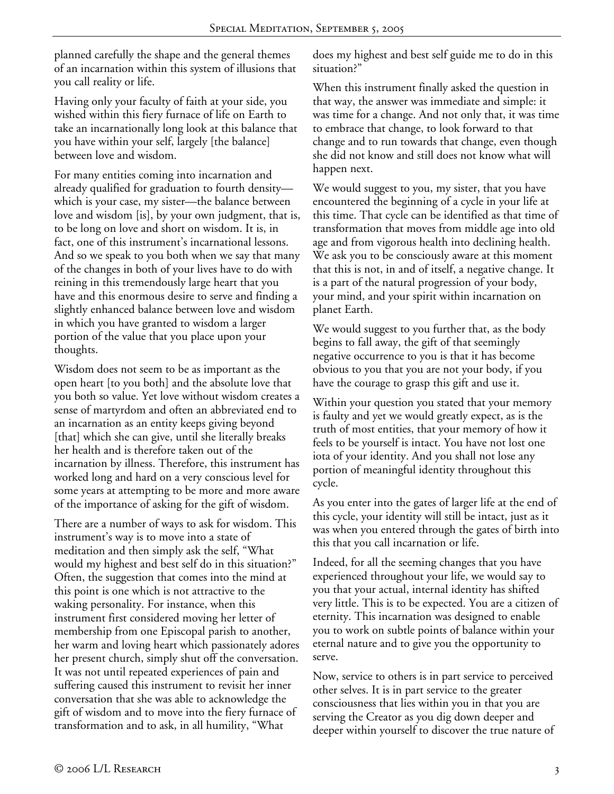planned carefully the shape and the general themes of an incarnation within this system of illusions that you call reality or life.

Having only your faculty of faith at your side, you wished within this fiery furnace of life on Earth to take an incarnationally long look at this balance that you have within your self, largely [the balance] between love and wisdom.

For many entities coming into incarnation and already qualified for graduation to fourth density which is your case, my sister—the balance between love and wisdom [is], by your own judgment, that is, to be long on love and short on wisdom. It is, in fact, one of this instrument's incarnational lessons. And so we speak to you both when we say that many of the changes in both of your lives have to do with reining in this tremendously large heart that you have and this enormous desire to serve and finding a slightly enhanced balance between love and wisdom in which you have granted to wisdom a larger portion of the value that you place upon your thoughts.

Wisdom does not seem to be as important as the open heart [to you both] and the absolute love that you both so value. Yet love without wisdom creates a sense of martyrdom and often an abbreviated end to an incarnation as an entity keeps giving beyond [that] which she can give, until she literally breaks her health and is therefore taken out of the incarnation by illness. Therefore, this instrument has worked long and hard on a very conscious level for some years at attempting to be more and more aware of the importance of asking for the gift of wisdom.

There are a number of ways to ask for wisdom. This instrument's way is to move into a state of meditation and then simply ask the self, "What would my highest and best self do in this situation?" Often, the suggestion that comes into the mind at this point is one which is not attractive to the waking personality. For instance, when this instrument first considered moving her letter of membership from one Episcopal parish to another, her warm and loving heart which passionately adores her present church, simply shut off the conversation. It was not until repeated experiences of pain and suffering caused this instrument to revisit her inner conversation that she was able to acknowledge the gift of wisdom and to move into the fiery furnace of transformation and to ask, in all humility, "What

does my highest and best self guide me to do in this situation?"

When this instrument finally asked the question in that way, the answer was immediate and simple: it was time for a change. And not only that, it was time to embrace that change, to look forward to that change and to run towards that change, even though she did not know and still does not know what will happen next.

We would suggest to you, my sister, that you have encountered the beginning of a cycle in your life at this time. That cycle can be identified as that time of transformation that moves from middle age into old age and from vigorous health into declining health. We ask you to be consciously aware at this moment that this is not, in and of itself, a negative change. It is a part of the natural progression of your body, your mind, and your spirit within incarnation on planet Earth.

We would suggest to you further that, as the body begins to fall away, the gift of that seemingly negative occurrence to you is that it has become obvious to you that you are not your body, if you have the courage to grasp this gift and use it.

Within your question you stated that your memory is faulty and yet we would greatly expect, as is the truth of most entities, that your memory of how it feels to be yourself is intact. You have not lost one iota of your identity. And you shall not lose any portion of meaningful identity throughout this cycle.

As you enter into the gates of larger life at the end of this cycle, your identity will still be intact, just as it was when you entered through the gates of birth into this that you call incarnation or life.

Indeed, for all the seeming changes that you have experienced throughout your life, we would say to you that your actual, internal identity has shifted very little. This is to be expected. You are a citizen of eternity. This incarnation was designed to enable you to work on subtle points of balance within your eternal nature and to give you the opportunity to serve.

Now, service to others is in part service to perceived other selves. It is in part service to the greater consciousness that lies within you in that you are serving the Creator as you dig down deeper and deeper within yourself to discover the true nature of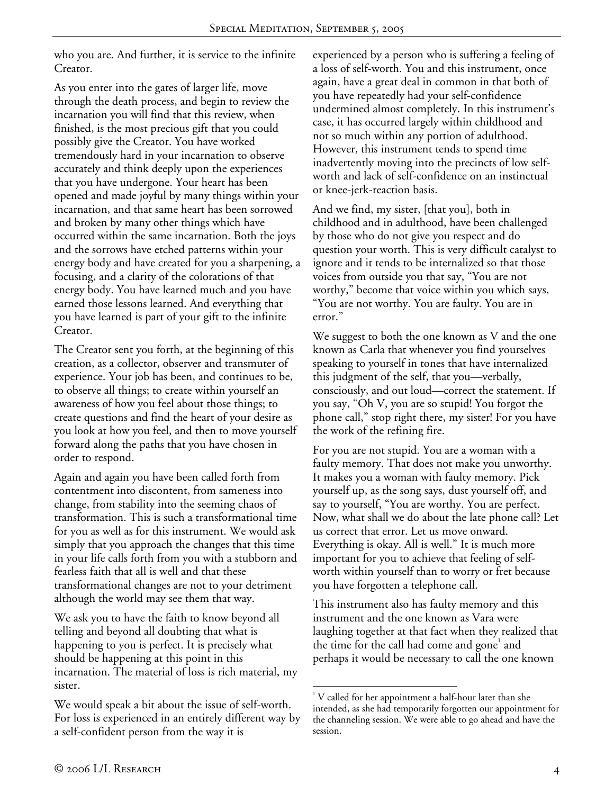who you are. And further, it is service to the infinite Creator.

As you enter into the gates of larger life, move through the death process, and begin to review the incarnation you will find that this review, when finished, is the most precious gift that you could possibly give the Creator. You have worked tremendously hard in your incarnation to observe accurately and think deeply upon the experiences that you have undergone. Your heart has been opened and made joyful by many things within your incarnation, and that same heart has been sorrowed and broken by many other things which have occurred within the same incarnation. Both the joys and the sorrows have etched patterns within your energy body and have created for you a sharpening, a focusing, and a clarity of the colorations of that energy body. You have learned much and you have earned those lessons learned. And everything that you have learned is part of your gift to the infinite Creator.

The Creator sent you forth, at the beginning of this creation, as a collector, observer and transmuter of experience. Your job has been, and continues to be, to observe all things; to create within yourself an awareness of how you feel about those things; to create questions and find the heart of your desire as you look at how you feel, and then to move yourself forward along the paths that you have chosen in order to respond.

Again and again you have been called forth from contentment into discontent, from sameness into change, from stability into the seeming chaos of transformation. This is such a transformational time for you as well as for this instrument. We would ask simply that you approach the changes that this time in your life calls forth from you with a stubborn and fearless faith that all is well and that these transformational changes are not to your detriment although the world may see them that way.

We ask you to have the faith to know beyond all telling and beyond all doubting that what is happening to you is perfect. It is precisely what should be happening at this point in this incarnation. The material of loss is rich material, my sister.

We would speak a bit about the issue of self-worth. For loss is experienced in an entirely different way by a self-confident person from the way it is

experienced by a person who is suffering a feeling of a loss of self-worth. You and this instrument, once again, have a great deal in common in that both of you have repeatedly had your self-confidence undermined almost completely. In this instrument's case, it has occurred largely within childhood and not so much within any portion of adulthood. However, this instrument tends to spend time inadvertently moving into the precincts of low selfworth and lack of self-confidence on an instinctual or knee-jerk-reaction basis.

And we find, my sister, [that you], both in childhood and in adulthood, have been challenged by those who do not give you respect and do question your worth. This is very difficult catalyst to ignore and it tends to be internalized so that those voices from outside you that say, "You are not worthy," become that voice within you which says, "You are not worthy. You are faulty. You are in error."

We suggest to both the one known as V and the one known as Carla that whenever you find yourselves speaking to yourself in tones that have internalized this judgment of the self, that you—verbally, consciously, and out loud—correct the statement. If you say, "Oh V, you are so stupid! You forgot the phone call," stop right there, my sister! For you have the work of the refining fire.

For you are not stupid. You are a woman with a faulty memory. That does not make you unworthy. It makes you a woman with faulty memory. Pick yourself up, as the song says, dust yourself off, and say to yourself, "You are worthy. You are perfect. Now, what shall we do about the late phone call? Let us correct that error. Let us move onward. Everything is okay. All is well." It is much more important for you to achieve that feeling of selfworth within yourself than to worry or fret because you have forgotten a telephone call.

This instrument also has faulty memory and this instrument and the one known as Vara were laughing together at that fact when they realized that the time for the call had come and gone<sup>1</sup> and perhaps it would be necessary to call the one known

1

<sup>&</sup>lt;sup>1</sup> V called for her appointment a half-hour later than she intended, as she had temporarily forgotten our appointment for the channeling session. We were able to go ahead and have the session.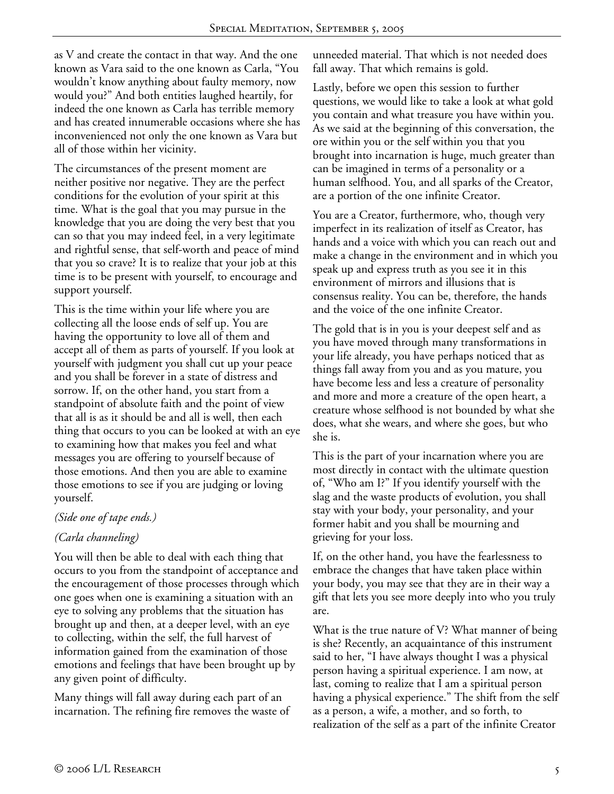as V and create the contact in that way. And the one known as Vara said to the one known as Carla, "You wouldn't know anything about faulty memory, now would you?" And both entities laughed heartily, for indeed the one known as Carla has terrible memory and has created innumerable occasions where she has inconvenienced not only the one known as Vara but all of those within her vicinity.

The circumstances of the present moment are neither positive nor negative. They are the perfect conditions for the evolution of your spirit at this time. What is the goal that you may pursue in the knowledge that you are doing the very best that you can so that you may indeed feel, in a very legitimate and rightful sense, that self-worth and peace of mind that you so crave? It is to realize that your job at this time is to be present with yourself, to encourage and support yourself.

This is the time within your life where you are collecting all the loose ends of self up. You are having the opportunity to love all of them and accept all of them as parts of yourself. If you look at yourself with judgment you shall cut up your peace and you shall be forever in a state of distress and sorrow. If, on the other hand, you start from a standpoint of absolute faith and the point of view that all is as it should be and all is well, then each thing that occurs to you can be looked at with an eye to examining how that makes you feel and what messages you are offering to yourself because of those emotions. And then you are able to examine those emotions to see if you are judging or loving yourself.

## *(Side one of tape ends.)*

## *(Carla channeling)*

You will then be able to deal with each thing that occurs to you from the standpoint of acceptance and the encouragement of those processes through which one goes when one is examining a situation with an eye to solving any problems that the situation has brought up and then, at a deeper level, with an eye to collecting, within the self, the full harvest of information gained from the examination of those emotions and feelings that have been brought up by any given point of difficulty.

Many things will fall away during each part of an incarnation. The refining fire removes the waste of unneeded material. That which is not needed does fall away. That which remains is gold.

Lastly, before we open this session to further questions, we would like to take a look at what gold you contain and what treasure you have within you. As we said at the beginning of this conversation, the ore within you or the self within you that you brought into incarnation is huge, much greater than can be imagined in terms of a personality or a human selfhood. You, and all sparks of the Creator, are a portion of the one infinite Creator.

You are a Creator, furthermore, who, though very imperfect in its realization of itself as Creator, has hands and a voice with which you can reach out and make a change in the environment and in which you speak up and express truth as you see it in this environment of mirrors and illusions that is consensus reality. You can be, therefore, the hands and the voice of the one infinite Creator.

The gold that is in you is your deepest self and as you have moved through many transformations in your life already, you have perhaps noticed that as things fall away from you and as you mature, you have become less and less a creature of personality and more and more a creature of the open heart, a creature whose selfhood is not bounded by what she does, what she wears, and where she goes, but who she is.

This is the part of your incarnation where you are most directly in contact with the ultimate question of, "Who am I?" If you identify yourself with the slag and the waste products of evolution, you shall stay with your body, your personality, and your former habit and you shall be mourning and grieving for your loss.

If, on the other hand, you have the fearlessness to embrace the changes that have taken place within your body, you may see that they are in their way a gift that lets you see more deeply into who you truly are.

What is the true nature of V? What manner of being is she? Recently, an acquaintance of this instrument said to her, "I have always thought I was a physical person having a spiritual experience. I am now, at last, coming to realize that I am a spiritual person having a physical experience." The shift from the self as a person, a wife, a mother, and so forth, to realization of the self as a part of the infinite Creator